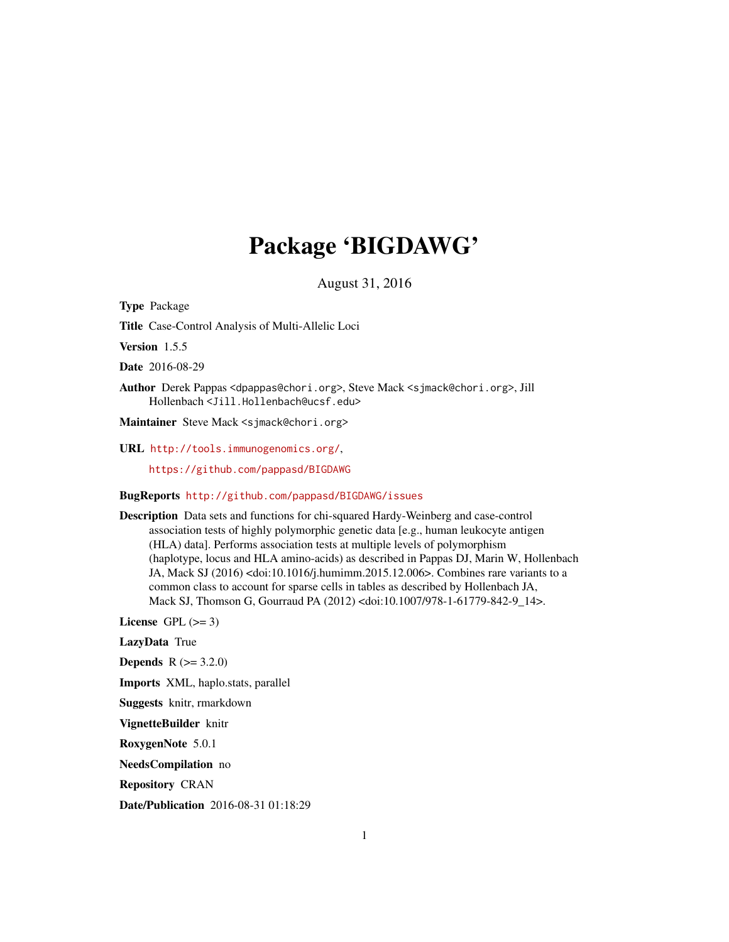# Package 'BIGDAWG'

August 31, 2016

Type Package

Title Case-Control Analysis of Multi-Allelic Loci

Version 1.5.5

Date 2016-08-29

Author Derek Pappas <dpappas@chori.org>, Steve Mack <sjmack@chori.org>, Jill Hollenbach <Jill.Hollenbach@ucsf.edu>

Maintainer Steve Mack <sjmack@chori.org>

URL <http://tools.immunogenomics.org/>,

<https://github.com/pappasd/BIGDAWG>

BugReports <http://github.com/pappasd/BIGDAWG/issues>

Description Data sets and functions for chi-squared Hardy-Weinberg and case-control association tests of highly polymorphic genetic data [e.g., human leukocyte antigen (HLA) data]. Performs association tests at multiple levels of polymorphism (haplotype, locus and HLA amino-acids) as described in Pappas DJ, Marin W, Hollenbach JA, Mack SJ (2016) <doi:10.1016/j.humimm.2015.12.006>. Combines rare variants to a common class to account for sparse cells in tables as described by Hollenbach JA, Mack SJ, Thomson G, Gourraud PA (2012) <doi:10.1007/978-1-61779-842-9\_14>.

License GPL  $(>= 3)$ 

LazyData True

**Depends**  $R (= 3.2.0)$ 

Imports XML, haplo.stats, parallel

Suggests knitr, rmarkdown

VignetteBuilder knitr

RoxygenNote 5.0.1

NeedsCompilation no

Repository CRAN

Date/Publication 2016-08-31 01:18:29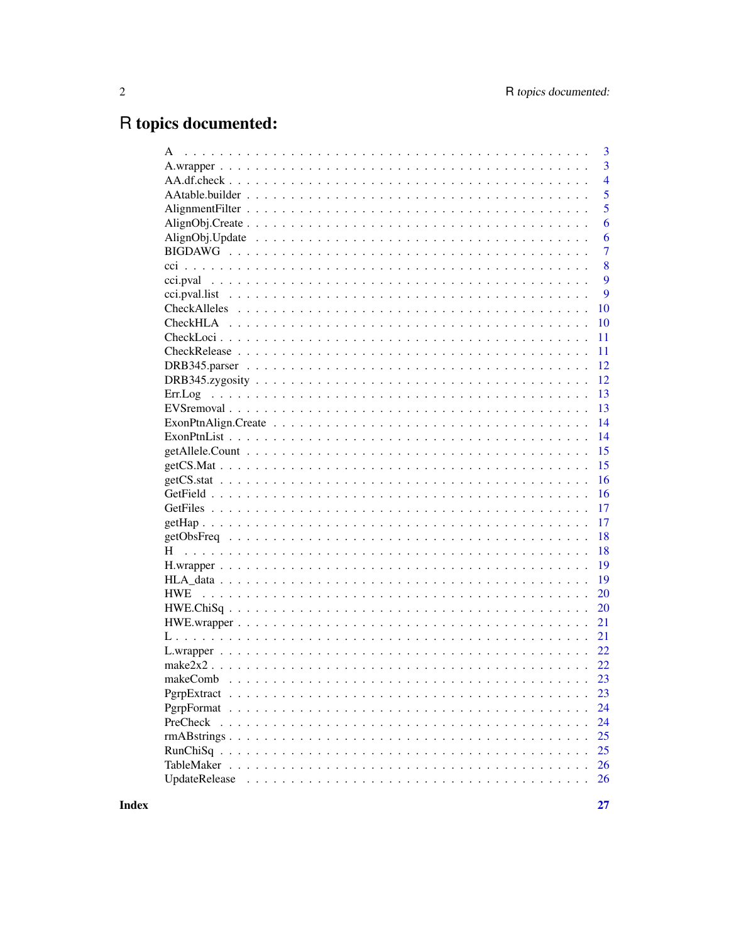# R topics documented:

|                                      | 3              |
|--------------------------------------|----------------|
|                                      | 3              |
|                                      | $\overline{4}$ |
|                                      | 5              |
|                                      | 5              |
|                                      | 6              |
|                                      | 6              |
|                                      | $\overline{7}$ |
|                                      | 8              |
|                                      | 9              |
|                                      | 9              |
|                                      | 10             |
|                                      | 10             |
|                                      | 11             |
|                                      | 11             |
|                                      | 12             |
|                                      | 12             |
|                                      | 13             |
|                                      | 13             |
| $ExonPtnAlign.Create               $ | 14             |
|                                      | 14             |
|                                      | 15             |
|                                      | 15             |
|                                      | 16             |
|                                      | 16             |
|                                      | 17             |
|                                      | 17             |
|                                      | 18             |
|                                      | 18             |
|                                      | 19             |
|                                      | 19             |
|                                      | 20             |
|                                      | 20             |
|                                      | 21             |
|                                      | 21             |
|                                      |                |
|                                      | 22             |
|                                      | 22             |
|                                      | 23             |
|                                      | 23             |
|                                      | 24             |
| PreCheck                             | 24             |
|                                      | 25             |
|                                      | 25             |
|                                      | 26             |
| UpdateRelease                        | 26             |
|                                      |                |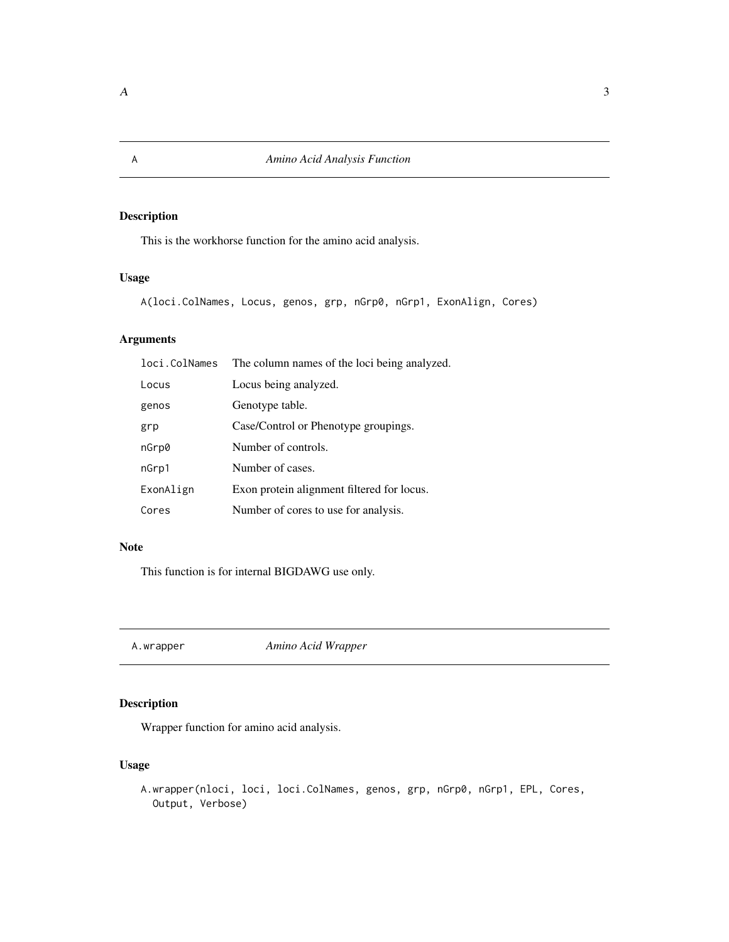This is the workhorse function for the amino acid analysis.

#### Usage

A(loci.ColNames, Locus, genos, grp, nGrp0, nGrp1, ExonAlign, Cores)

#### Arguments

| loci.ColNames | The column names of the loci being analyzed. |
|---------------|----------------------------------------------|
| Locus         | Locus being analyzed.                        |
| genos         | Genotype table.                              |
| grp           | Case/Control or Phenotype groupings.         |
| nGrp0         | Number of controls.                          |
| nGrp1         | Number of cases.                             |
| ExonAlign     | Exon protein alignment filtered for locus.   |
| Cores         | Number of cores to use for analysis.         |

#### Note

This function is for internal BIGDAWG use only.

A.wrapper *Amino Acid Wrapper*

#### Description

Wrapper function for amino acid analysis.

#### Usage

```
A.wrapper(nloci, loci, loci.ColNames, genos, grp, nGrp0, nGrp1, EPL, Cores,
 Output, Verbose)
```
<span id="page-2-0"></span>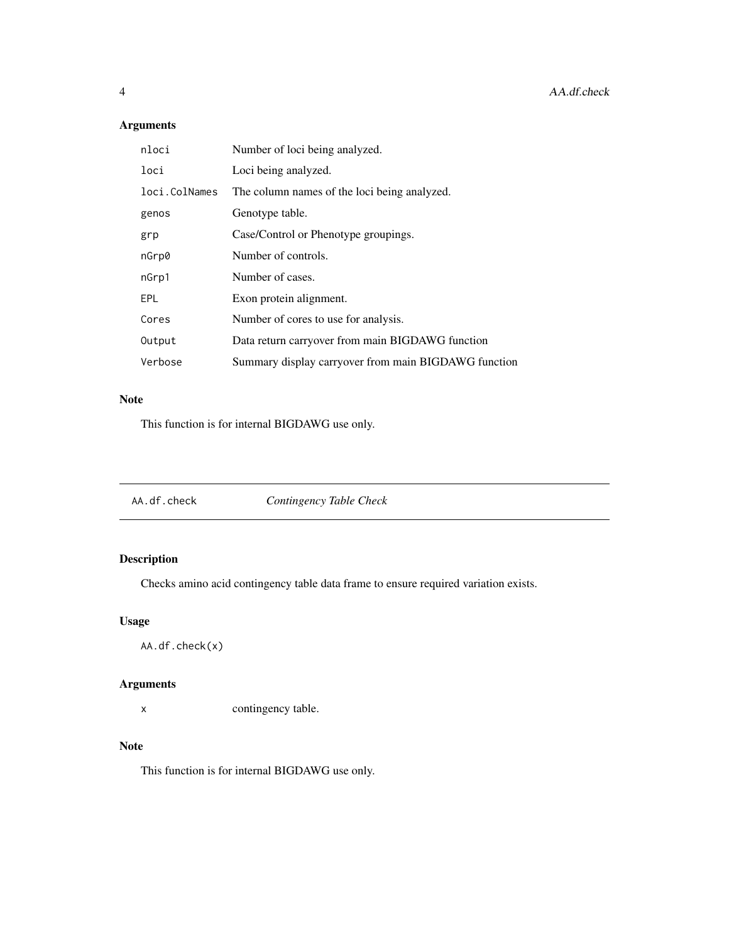#### Arguments

| nloci         | Number of loci being analyzed.                       |
|---------------|------------------------------------------------------|
| loci          | Loci being analyzed.                                 |
| loci.ColNames | The column names of the loci being analyzed.         |
| genos         | Genotype table.                                      |
| grp           | Case/Control or Phenotype groupings.                 |
| nGrp0         | Number of controls.                                  |
| nGrp1         | Number of cases.                                     |
| EPL           | Exon protein alignment.                              |
| Cores         | Number of cores to use for analysis.                 |
| Output        | Data return carryover from main BIGDAWG function     |
| Verbose       | Summary display carryover from main BIGDAWG function |

#### Note

This function is for internal BIGDAWG use only.

| Contingency Table Check<br>AA.df.check |
|----------------------------------------|
|----------------------------------------|

#### Description

Checks amino acid contingency table data frame to ensure required variation exists.

#### Usage

AA.df.check(x)

#### Arguments

x contingency table.

#### Note

<span id="page-3-0"></span>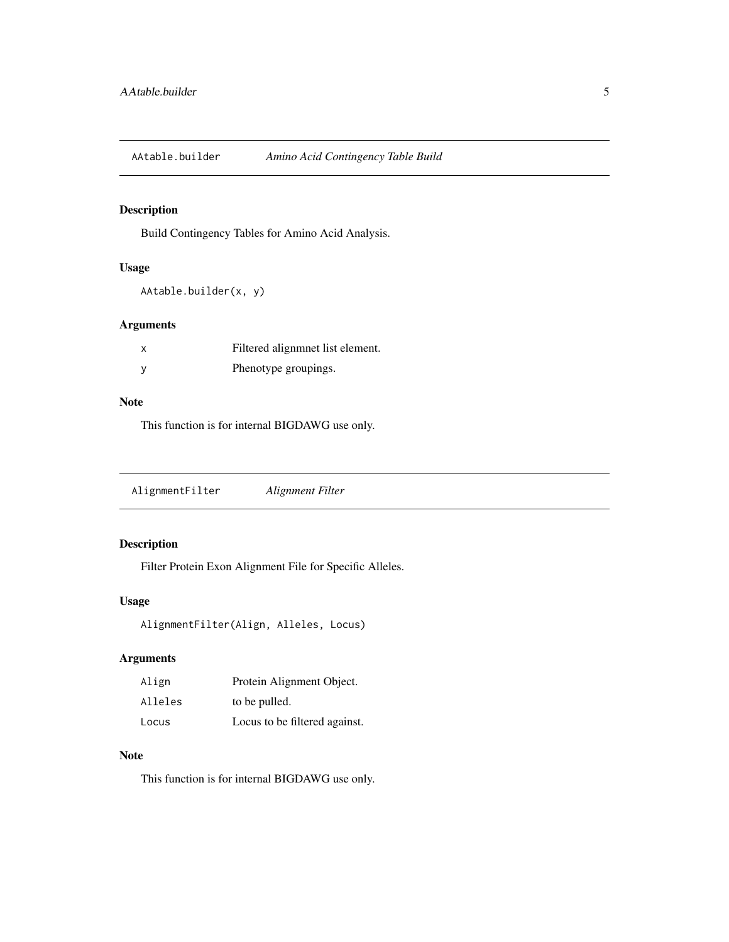<span id="page-4-0"></span>AAtable.builder *Amino Acid Contingency Table Build*

#### Description

Build Contingency Tables for Amino Acid Analysis.

#### Usage

```
AAtable.builder(x, y)
```
#### Arguments

| Filtered alignment list element. |
|----------------------------------|
| Phenotype groupings.             |

#### Note

This function is for internal BIGDAWG use only.

AlignmentFilter *Alignment Filter*

#### Description

Filter Protein Exon Alignment File for Specific Alleles.

#### Usage

```
AlignmentFilter(Align, Alleles, Locus)
```
#### Arguments

| Align   | Protein Alignment Object.     |
|---------|-------------------------------|
| Alleles | to be pulled.                 |
| Locus   | Locus to be filtered against. |

#### Note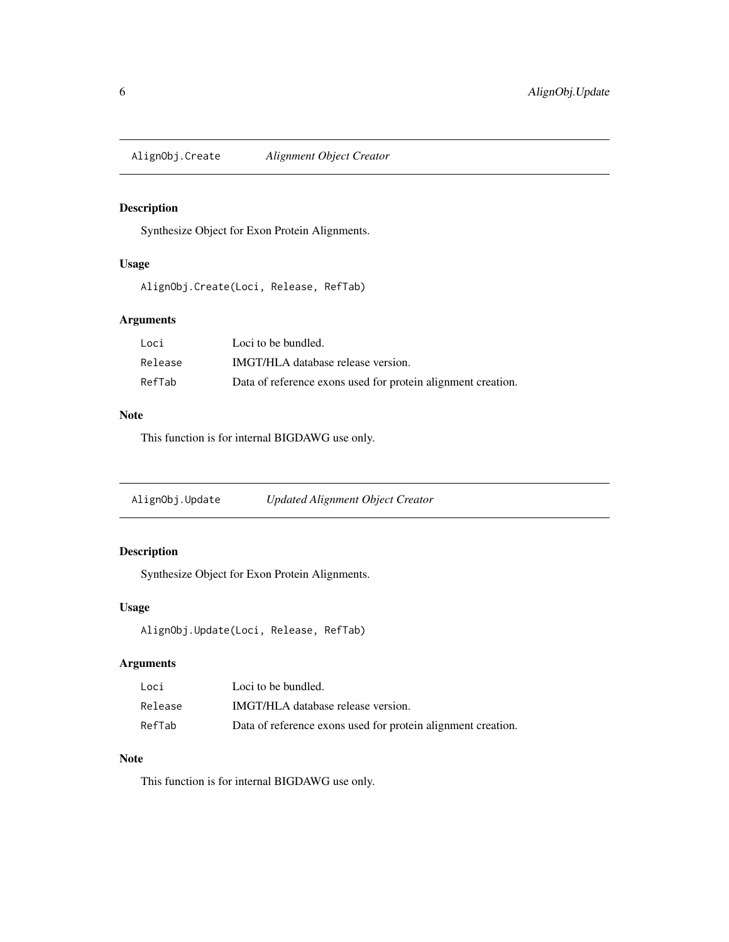<span id="page-5-0"></span>AlignObj.Create *Alignment Object Creator*

#### Description

Synthesize Object for Exon Protein Alignments.

#### Usage

AlignObj.Create(Loci, Release, RefTab)

#### Arguments

| Loci    | Loci to be bundled.                                          |
|---------|--------------------------------------------------------------|
| Release | IMGT/HLA database release version.                           |
| RefTab  | Data of reference exons used for protein alignment creation. |

#### Note

This function is for internal BIGDAWG use only.

AlignObj.Update *Updated Alignment Object Creator*

#### Description

Synthesize Object for Exon Protein Alignments.

#### Usage

AlignObj.Update(Loci, Release, RefTab)

#### Arguments

| Loci    | Loci to be bundled.                                          |
|---------|--------------------------------------------------------------|
| Release | IMGT/HLA database release version.                           |
| RefTab  | Data of reference exons used for protein alignment creation. |

#### Note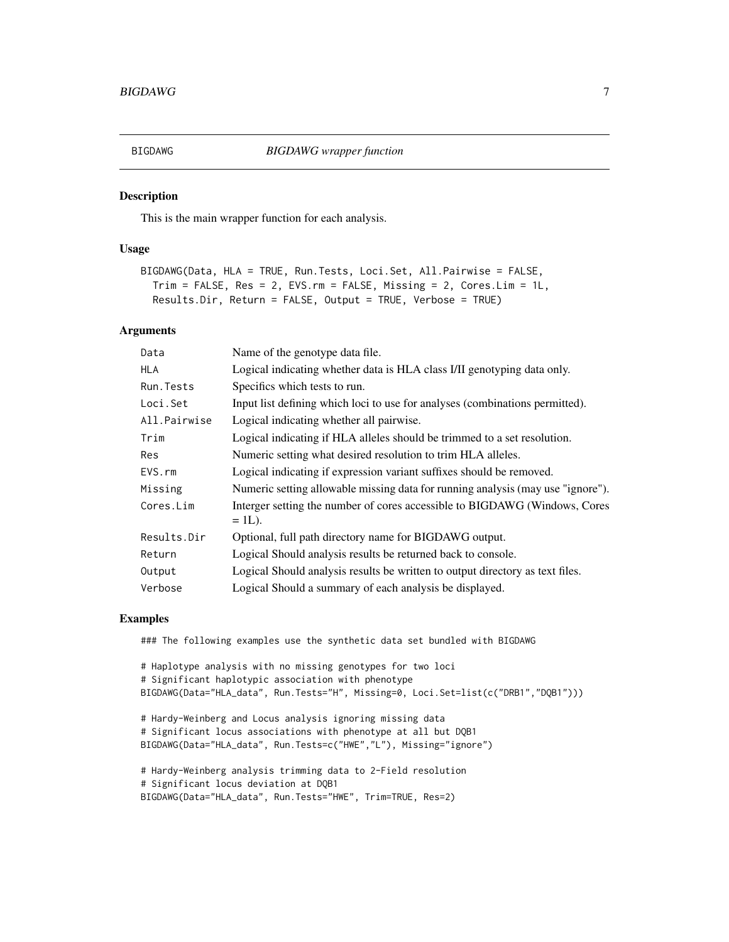<span id="page-6-0"></span>

This is the main wrapper function for each analysis.

#### Usage

```
BIGDAWG(Data, HLA = TRUE, Run.Tests, Loci.Set, All.Pairwise = FALSE,
  Trim = FALSE, Res = 2, EVS.rm = FALSE, Missing = 2, Cores.Lim = 1L,
 Results.Dir, Return = FALSE, Output = TRUE, Verbose = TRUE)
```
#### Arguments

| Data         | Name of the genotype data file.                                                 |
|--------------|---------------------------------------------------------------------------------|
| <b>HLA</b>   | Logical indicating whether data is HLA class I/II genotyping data only.         |
| Run. Tests   | Specifics which tests to run.                                                   |
| Loci.Set     | Input list defining which loci to use for analyses (combinations permitted).    |
| All.Pairwise | Logical indicating whether all pairwise.                                        |
| Trim         | Logical indicating if HLA alleles should be trimmed to a set resolution.        |
| Res          | Numeric setting what desired resolution to trim HLA alleles.                    |
| EVS.rm       | Logical indicating if expression variant suffixes should be removed.            |
| Missing      | Numeric setting allowable missing data for running analysis (may use "ignore"). |
| Cores.Lim    | Interger setting the number of cores accessible to BIGDAWG (Windows, Cores      |
|              | $= 1L$ ).                                                                       |
| Results.Dir  | Optional, full path directory name for BIGDAWG output.                          |
| Return       | Logical Should analysis results be returned back to console.                    |
| Output       | Logical Should analysis results be written to output directory as text files.   |
| Verbose      | Logical Should a summary of each analysis be displayed.                         |

#### Examples

### The following examples use the synthetic data set bundled with BIGDAWG

```
# Haplotype analysis with no missing genotypes for two loci
# Significant haplotypic association with phenotype
BIGDAWG(Data="HLA_data", Run.Tests="H", Missing=0, Loci.Set=list(c("DRB1","DQB1")))
```

```
# Hardy-Weinberg and Locus analysis ignoring missing data
# Significant locus associations with phenotype at all but DQB1
BIGDAWG(Data="HLA_data", Run.Tests=c("HWE","L"), Missing="ignore")
```

```
# Hardy-Weinberg analysis trimming data to 2-Field resolution
# Significant locus deviation at DQB1
BIGDAWG(Data="HLA_data", Run.Tests="HWE", Trim=TRUE, Res=2)
```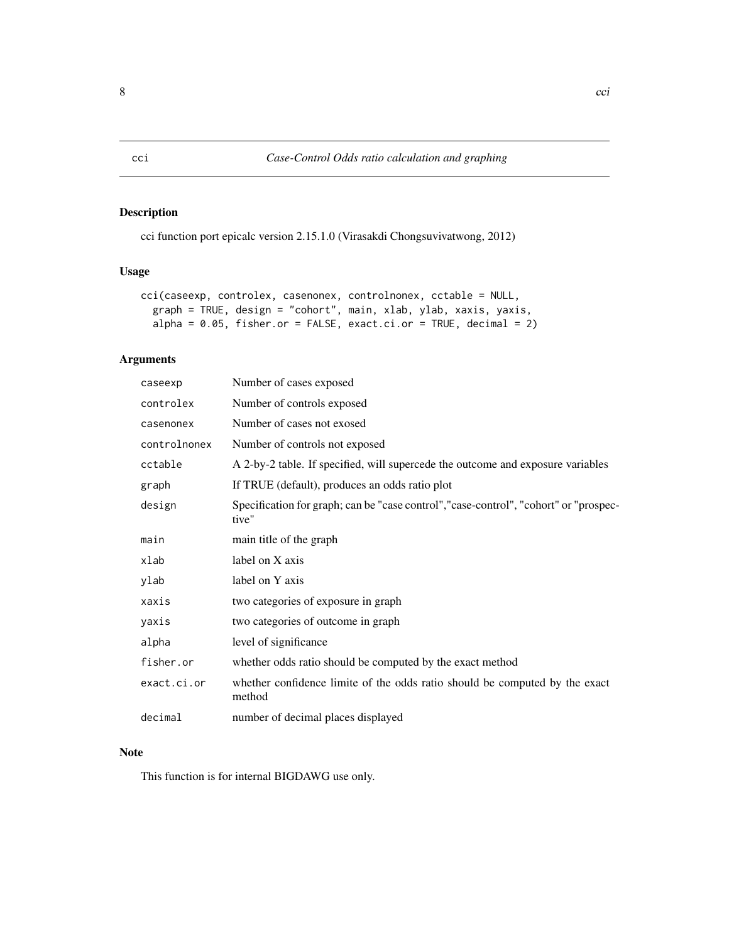cci function port epicalc version 2.15.1.0 (Virasakdi Chongsuvivatwong, 2012)

#### Usage

```
cci(caseexp, controlex, casenonex, controlnonex, cctable = NULL,
  graph = TRUE, design = "cohort", main, xlab, ylab, xaxis, yaxis,
  alpha = 0.05, fisher.or = FALSE, exact.ci.or = TRUE, decimal = 2)
```
#### Arguments

| caseexp      | Number of cases exposed                                                                        |
|--------------|------------------------------------------------------------------------------------------------|
| controlex    | Number of controls exposed                                                                     |
| casenonex    | Number of cases not exosed                                                                     |
| controlnonex | Number of controls not exposed                                                                 |
| cctable      | A 2-by-2 table. If specified, will supercede the outcome and exposure variables                |
| graph        | If TRUE (default), produces an odds ratio plot                                                 |
| design       | Specification for graph; can be "case control", "case-control", "cohort" or "prospec-<br>tive" |
| main         | main title of the graph                                                                        |
| xlab         | label on X axis                                                                                |
| ylab         | label on Y axis                                                                                |
| xaxis        | two categories of exposure in graph                                                            |
| yaxis        | two categories of outcome in graph                                                             |
| alpha        | level of significance                                                                          |
| fisher.or    | whether odds ratio should be computed by the exact method                                      |
| exact.ci.or  | whether confidence limite of the odds ratio should be computed by the exact<br>method          |
| decimal      | number of decimal places displayed                                                             |

#### Note

<span id="page-7-0"></span>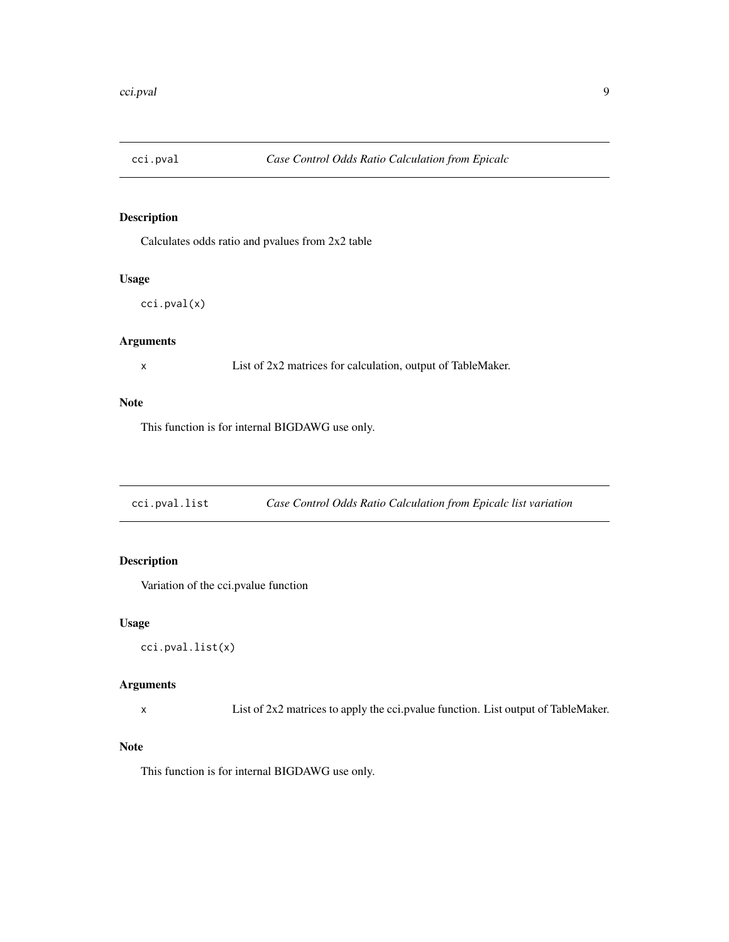<span id="page-8-0"></span>

Calculates odds ratio and pvalues from 2x2 table

#### Usage

cci.pval(x)

#### Arguments

x List of 2x2 matrices for calculation, output of TableMaker.

#### Note

This function is for internal BIGDAWG use only.

cci.pval.list *Case Control Odds Ratio Calculation from Epicalc list variation*

#### Description

Variation of the cci.pvalue function

#### Usage

cci.pval.list(x)

#### Arguments

x List of 2x2 matrices to apply the cci.pvalue function. List output of TableMaker.

#### Note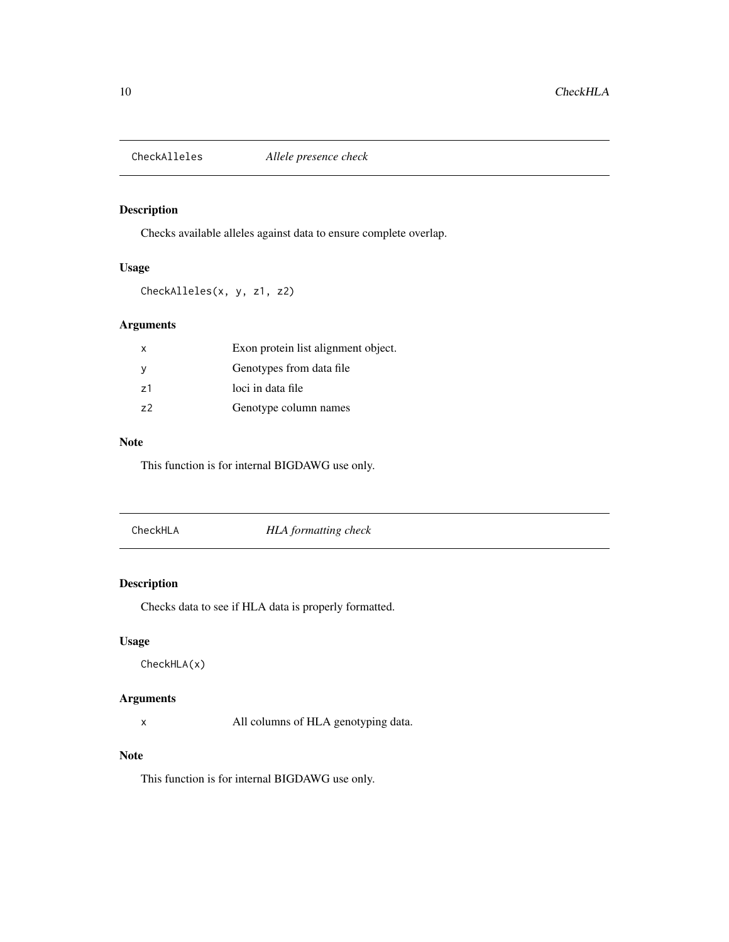<span id="page-9-0"></span>

Checks available alleles against data to ensure complete overlap.

#### Usage

CheckAlleles(x, y, z1, z2)

#### Arguments

| $\mathsf{x}$ | Exon protein list alignment object. |
|--------------|-------------------------------------|
|              | Genotypes from data file            |
| 71           | loci in data file                   |
| 72           | Genotype column names               |

#### Note

This function is for internal BIGDAWG use only.

CheckHLA *HLA formatting check*

#### Description

Checks data to see if HLA data is properly formatted.

#### Usage

CheckHLA(x)

#### Arguments

x All columns of HLA genotyping data.

#### Note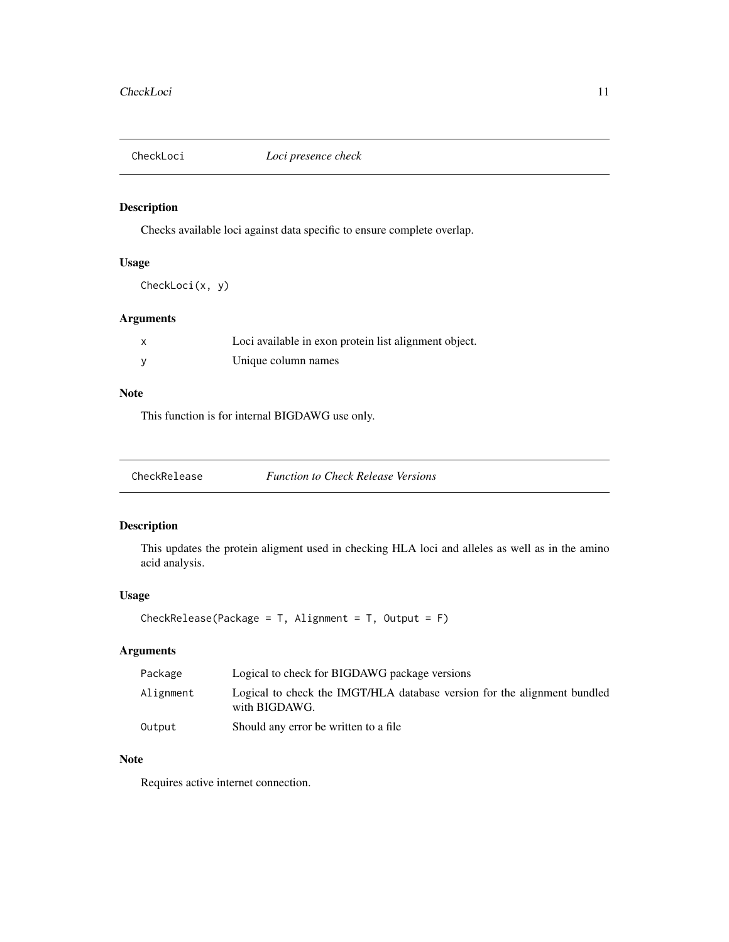<span id="page-10-0"></span>

Checks available loci against data specific to ensure complete overlap.

#### Usage

CheckLoci(x, y)

#### Arguments

| Loci available in exon protein list alignment object. |
|-------------------------------------------------------|
| Unique column names                                   |

#### Note

This function is for internal BIGDAWG use only.

#### Description

This updates the protein aligment used in checking HLA loci and alleles as well as in the amino acid analysis.

#### Usage

CheckRelease(Package =  $T$ , Alignment =  $T$ , Output =  $F$ )

#### Arguments

| Package   | Logical to check for BIGDAWG package versions                                             |
|-----------|-------------------------------------------------------------------------------------------|
| Alignment | Logical to check the IMGT/HLA database version for the alignment bundled<br>with BIGDAWG. |
| Output    | Should any error be written to a file                                                     |

#### Note

Requires active internet connection.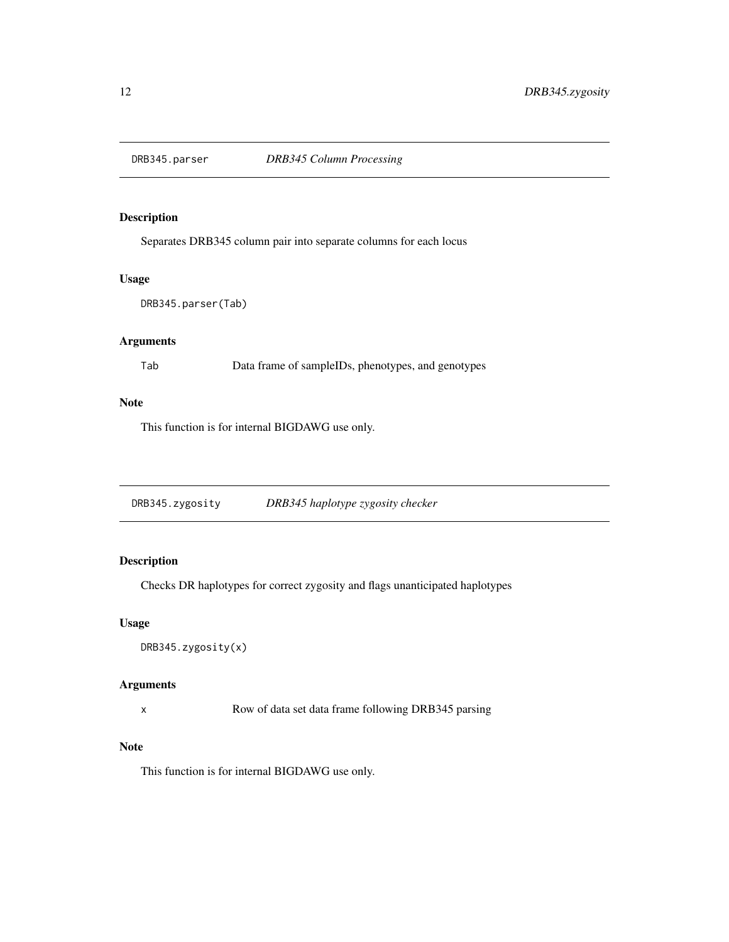<span id="page-11-0"></span>

Separates DRB345 column pair into separate columns for each locus

#### Usage

```
DRB345.parser(Tab)
```
#### Arguments

Tab Data frame of sampleIDs, phenotypes, and genotypes

#### Note

This function is for internal BIGDAWG use only.

DRB345.zygosity *DRB345 haplotype zygosity checker*

#### Description

Checks DR haplotypes for correct zygosity and flags unanticipated haplotypes

#### Usage

```
DRB345.zygosity(x)
```
#### Arguments

x Row of data set data frame following DRB345 parsing

#### Note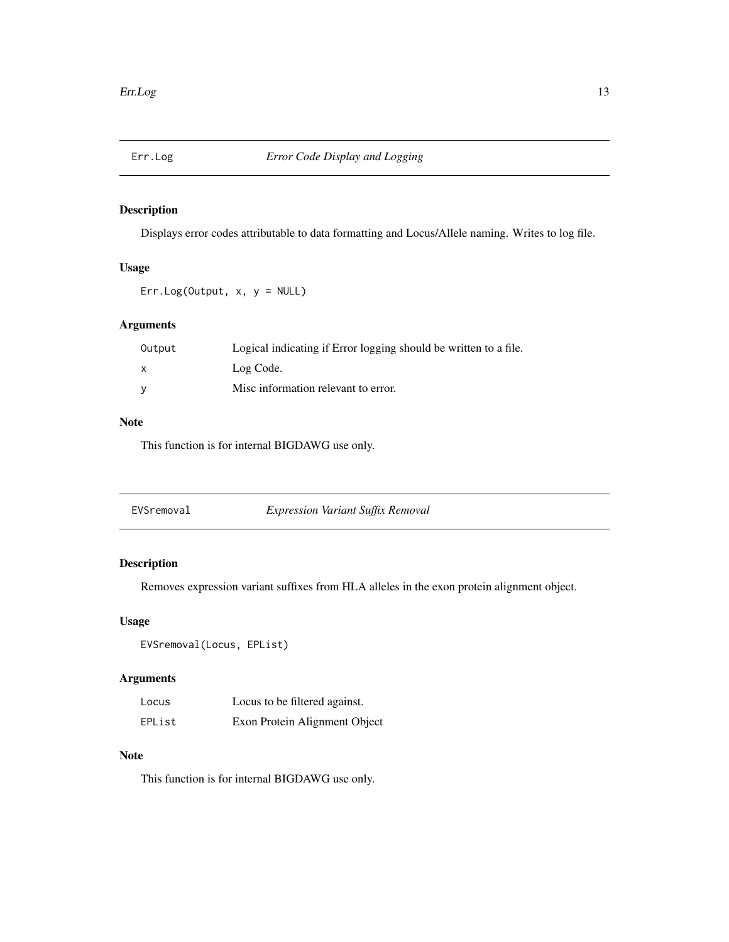<span id="page-12-0"></span>

Displays error codes attributable to data formatting and Locus/Allele naming. Writes to log file.

#### Usage

Err.Log(Output, x, y = NULL)

#### Arguments

| Output | Logical indicating if Error logging should be written to a file. |
|--------|------------------------------------------------------------------|
| x      | Log Code.                                                        |
| v      | Misc information relevant to error.                              |

#### Note

This function is for internal BIGDAWG use only.

| EVSremoval | <i>Expression Variant Suffix Removal</i> |
|------------|------------------------------------------|
|------------|------------------------------------------|

#### Description

Removes expression variant suffixes from HLA alleles in the exon protein alignment object.

#### Usage

```
EVSremoval(Locus, EPList)
```
#### Arguments

| Locus  | Locus to be filtered against. |
|--------|-------------------------------|
| EPList | Exon Protein Alignment Object |

#### Note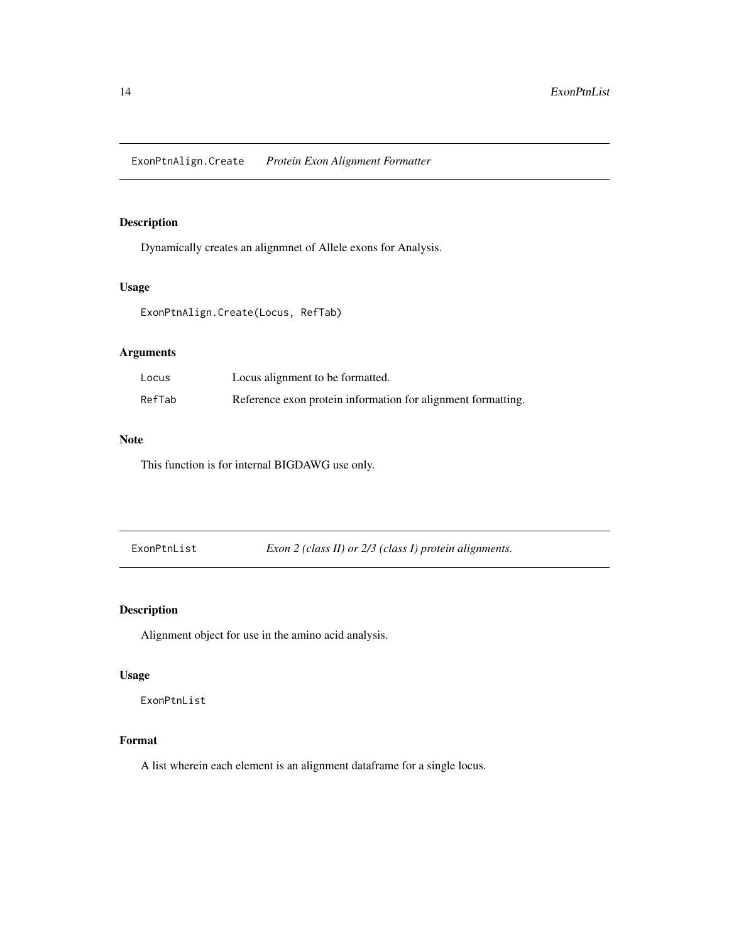<span id="page-13-0"></span>Dynamically creates an alignmnet of Allele exons for Analysis.

#### Usage

ExonPtnAlign.Create(Locus, RefTab)

#### Arguments

| Locus  | Locus alignment to be formatted.                             |
|--------|--------------------------------------------------------------|
| RefTab | Reference exon protein information for alignment formatting. |

#### Note

This function is for internal BIGDAWG use only.

ExonPtnList *Exon 2 (class II) or 2/3 (class I) protein alignments.*

#### Description

Alignment object for use in the amino acid analysis.

#### Usage

ExonPtnList

#### Format

A list wherein each element is an alignment dataframe for a single locus.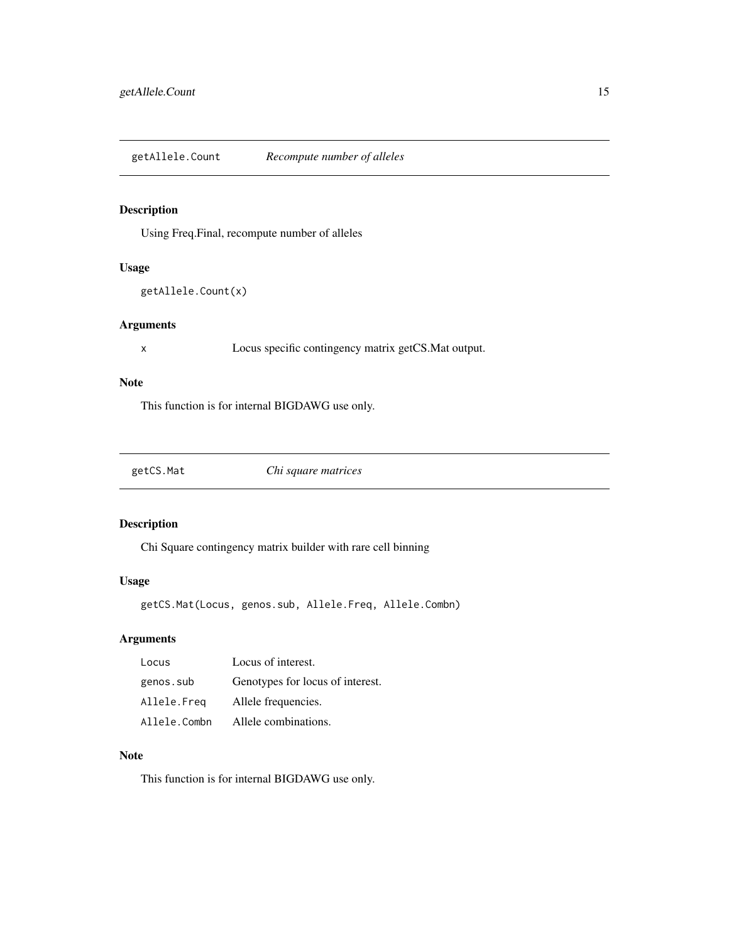<span id="page-14-0"></span>getAllele.Count *Recompute number of alleles*

#### Description

Using Freq.Final, recompute number of alleles

#### Usage

```
getAllele.Count(x)
```
#### Arguments

x Locus specific contingency matrix getCS.Mat output.

#### Note

This function is for internal BIGDAWG use only.

getCS.Mat *Chi square matrices*

#### Description

Chi Square contingency matrix builder with rare cell binning

#### Usage

getCS.Mat(Locus, genos.sub, Allele.Freq, Allele.Combn)

#### Arguments

| Locus        | Locus of interest.               |
|--------------|----------------------------------|
| genos.sub    | Genotypes for locus of interest. |
| Allele.Freg  | Allele frequencies.              |
| Allele.Combn | Allele combinations.             |

#### Note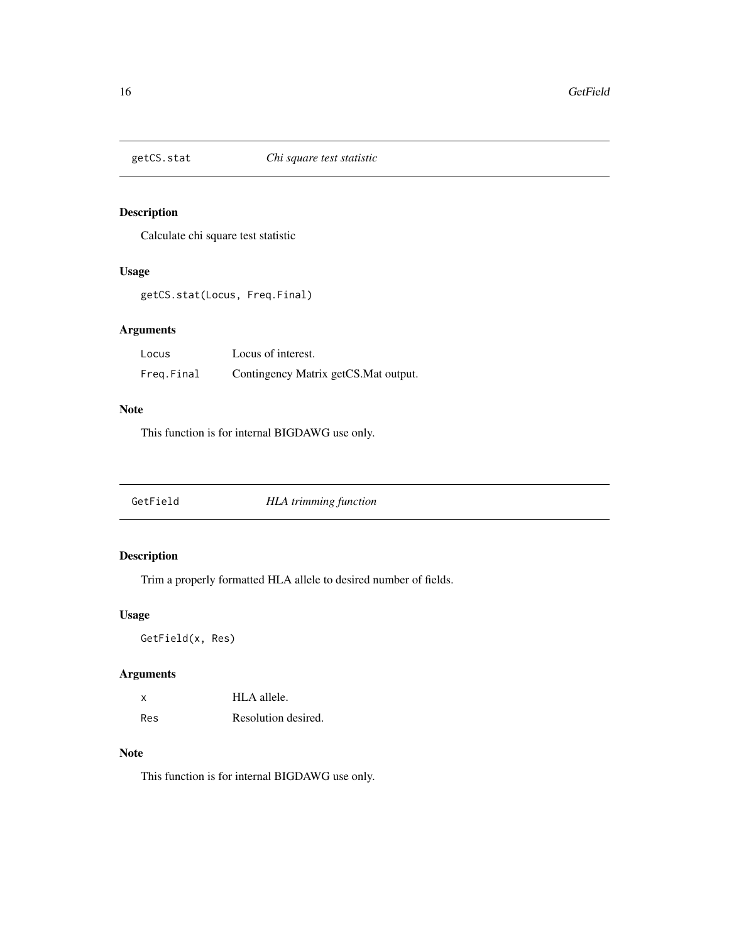<span id="page-15-0"></span>

Calculate chi square test statistic

#### Usage

getCS.stat(Locus, Freq.Final)

#### Arguments

| Locus      | Locus of interest.                    |
|------------|---------------------------------------|
| Freg.Final | Contingency Matrix getCS. Mat output. |

#### Note

This function is for internal BIGDAWG use only.

| <b>HLA</b> trimming function<br>GetField |  |
|------------------------------------------|--|
|------------------------------------------|--|

### Description

Trim a properly formatted HLA allele to desired number of fields.

#### Usage

GetField(x, Res)

#### Arguments

| x   | HLA allele.         |
|-----|---------------------|
| Res | Resolution desired. |

#### Note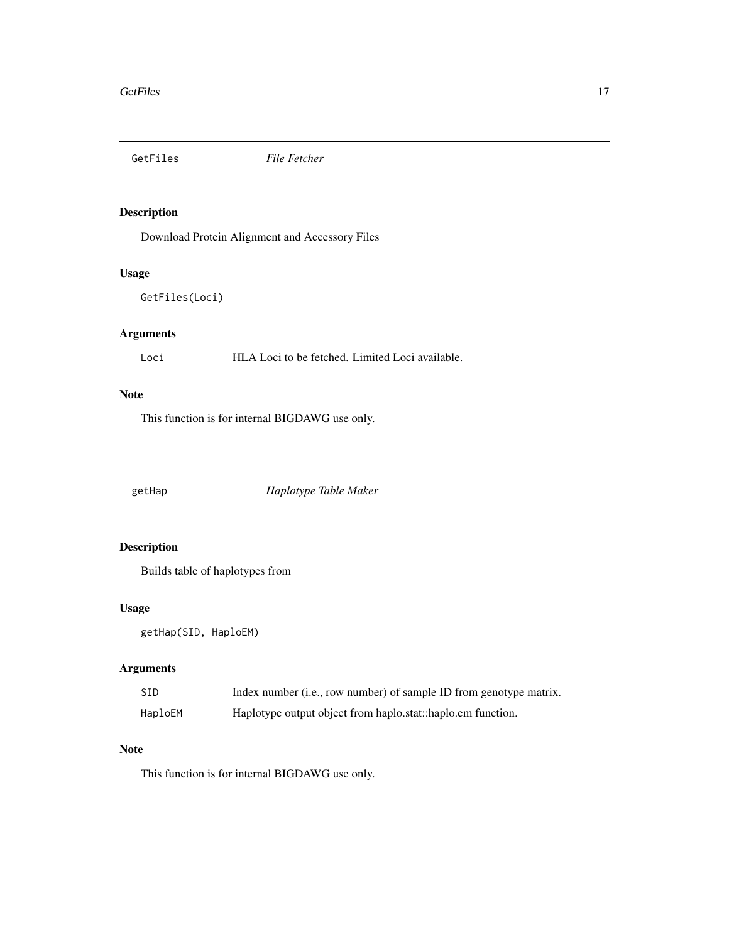<span id="page-16-0"></span>

Download Protein Alignment and Accessory Files

#### Usage

```
GetFiles(Loci)
```
#### Arguments

Loci HLA Loci to be fetched. Limited Loci available.

#### Note

This function is for internal BIGDAWG use only.

getHap *Haplotype Table Maker*

#### Description

Builds table of haplotypes from

#### Usage

getHap(SID, HaploEM)

#### Arguments

| SID     | Index number (i.e., row number) of sample ID from genotype matrix. |
|---------|--------------------------------------------------------------------|
| HaploEM | Haplotype output object from haplo.stat::haplo.em function.        |

#### Note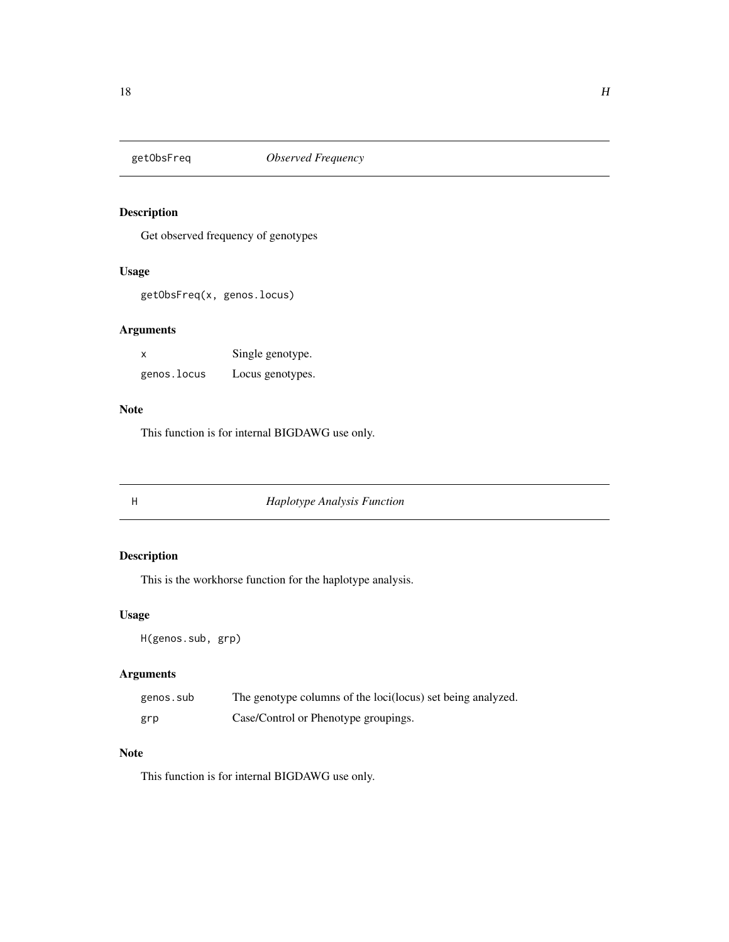<span id="page-17-0"></span>

Get observed frequency of genotypes

#### Usage

getObsFreq(x, genos.locus)

#### Arguments

| X           | Single genotype. |
|-------------|------------------|
| genos.locus | Locus genotypes. |

#### Note

This function is for internal BIGDAWG use only.

#### H *Haplotype Analysis Function*

#### Description

This is the workhorse function for the haplotype analysis.

#### Usage

H(genos.sub, grp)

#### Arguments

| genos.sub | The genotype columns of the loci(locus) set being analyzed. |
|-----------|-------------------------------------------------------------|
| grp       | Case/Control or Phenotype groupings.                        |

#### Note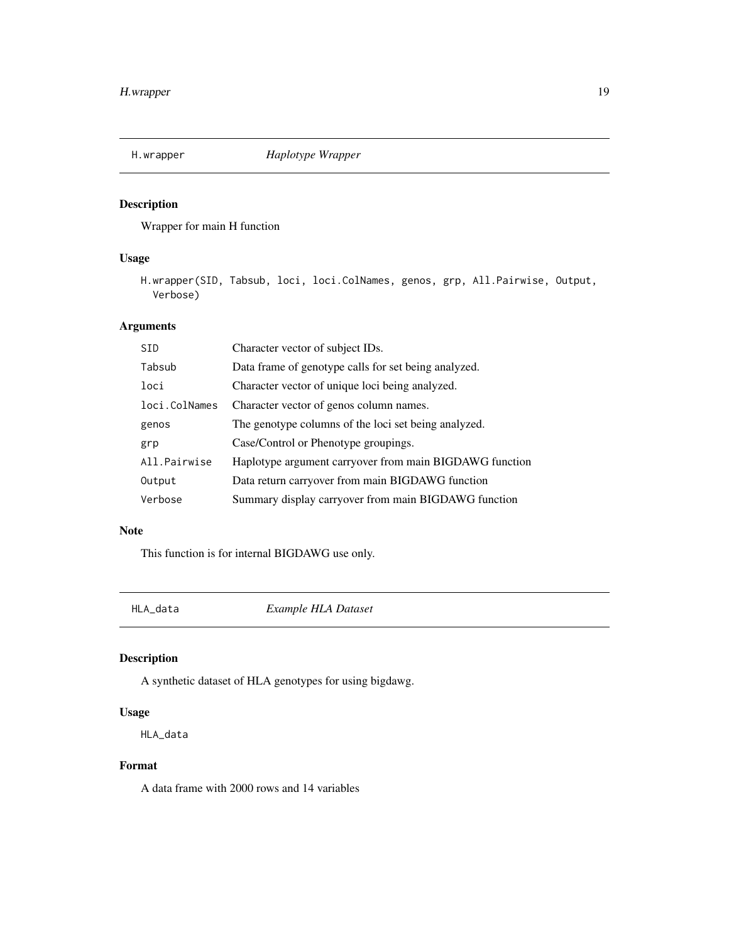<span id="page-18-0"></span>

Wrapper for main H function

#### Usage

H.wrapper(SID, Tabsub, loci, loci.ColNames, genos, grp, All.Pairwise, Output, Verbose)

#### Arguments

| <b>SID</b>    | Character vector of subject IDs.                        |
|---------------|---------------------------------------------------------|
| Tabsub        | Data frame of genotype calls for set being analyzed.    |
| loci          | Character vector of unique loci being analyzed.         |
| loci.ColNames | Character vector of genos column names.                 |
| genos         | The genotype columns of the loci set being analyzed.    |
| grp           | Case/Control or Phenotype groupings.                    |
| All.Pairwise  | Haplotype argument carryover from main BIGDAWG function |
| Output        | Data return carryover from main BIGDAWG function        |
| Verbose       | Summary display carryover from main BIGDAWG function    |

#### Note

This function is for internal BIGDAWG use only.

HLA\_data *Example HLA Dataset*

#### Description

A synthetic dataset of HLA genotypes for using bigdawg.

#### Usage

HLA\_data

#### Format

A data frame with 2000 rows and 14 variables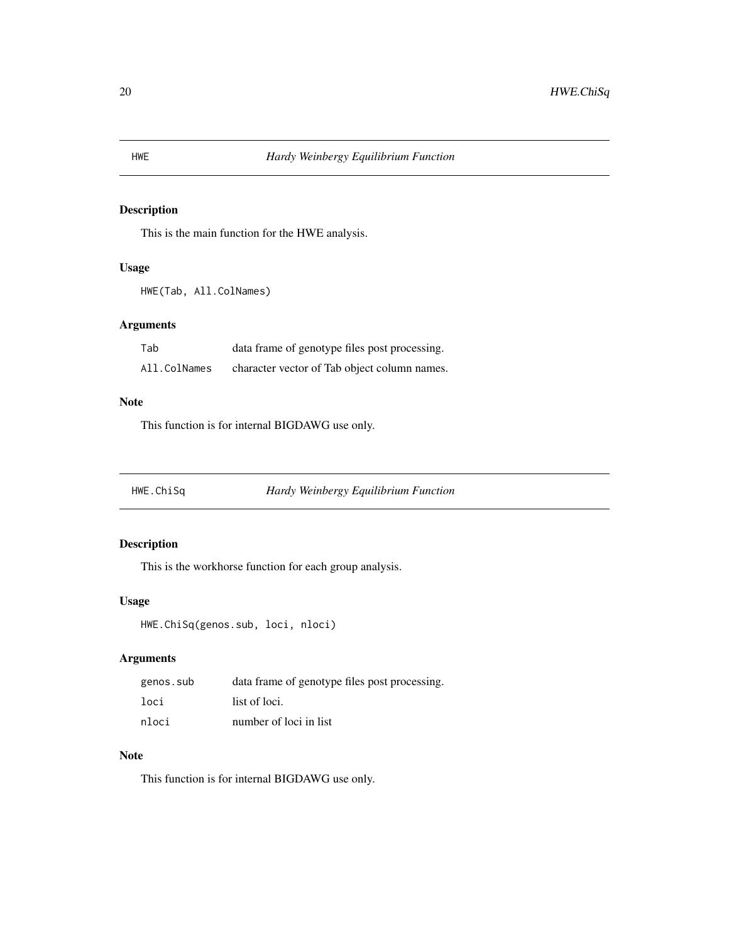This is the main function for the HWE analysis.

#### Usage

```
HWE(Tab, All.ColNames)
```
#### Arguments

| Tab          | data frame of genotype files post processing. |
|--------------|-----------------------------------------------|
| All.ColNames | character vector of Tab object column names.  |

#### Note

This function is for internal BIGDAWG use only.

HWE.ChiSq *Hardy Weinbergy Equilibrium Function*

#### Description

This is the workhorse function for each group analysis.

#### Usage

```
HWE.ChiSq(genos.sub, loci, nloci)
```
#### Arguments

| genos.sub | data frame of genotype files post processing. |
|-----------|-----------------------------------------------|
| loci      | list of loci.                                 |
| nloci     | number of loci in list                        |

#### Note

<span id="page-19-0"></span>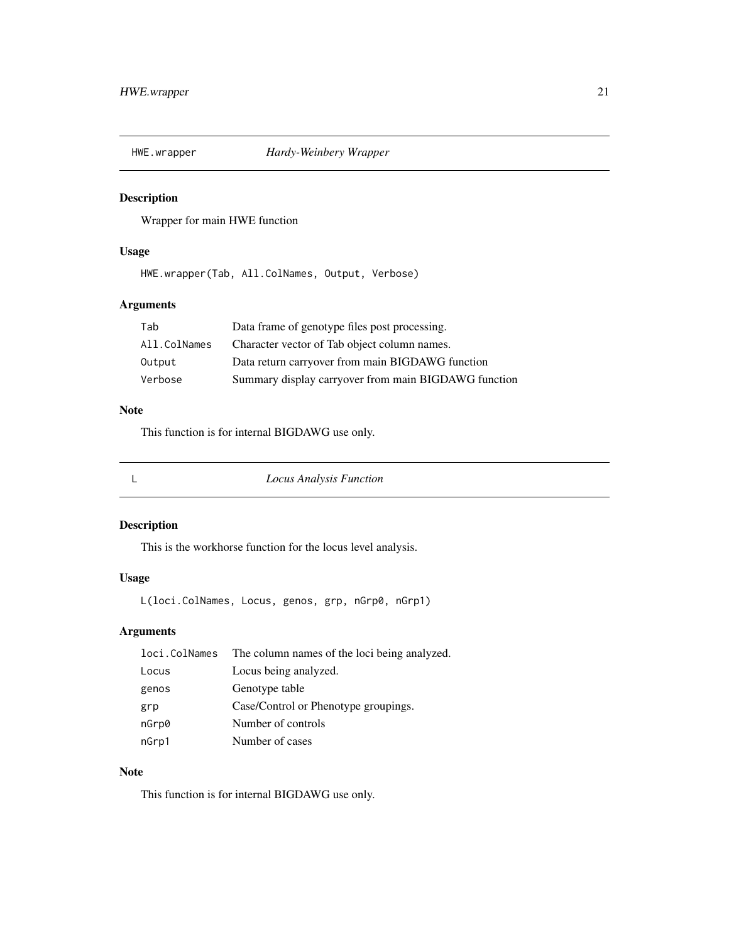<span id="page-20-0"></span>

Wrapper for main HWE function

#### Usage

HWE.wrapper(Tab, All.ColNames, Output, Verbose)

#### Arguments

| Tab          | Data frame of genotype files post processing.        |
|--------------|------------------------------------------------------|
| All.ColNames | Character vector of Tab object column names.         |
| Output       | Data return carryover from main BIGDAWG function     |
| Verbose      | Summary display carryover from main BIGDAWG function |

#### Note

This function is for internal BIGDAWG use only.

L *Locus Analysis Function*

#### Description

This is the workhorse function for the locus level analysis.

#### Usage

L(loci.ColNames, Locus, genos, grp, nGrp0, nGrp1)

#### Arguments

|       | loci.ColNames The column names of the loci being analyzed. |
|-------|------------------------------------------------------------|
| Locus | Locus being analyzed.                                      |
| genos | Genotype table                                             |
| grp   | Case/Control or Phenotype groupings.                       |
| nGrp0 | Number of controls                                         |
| nGrp1 | Number of cases                                            |

#### Note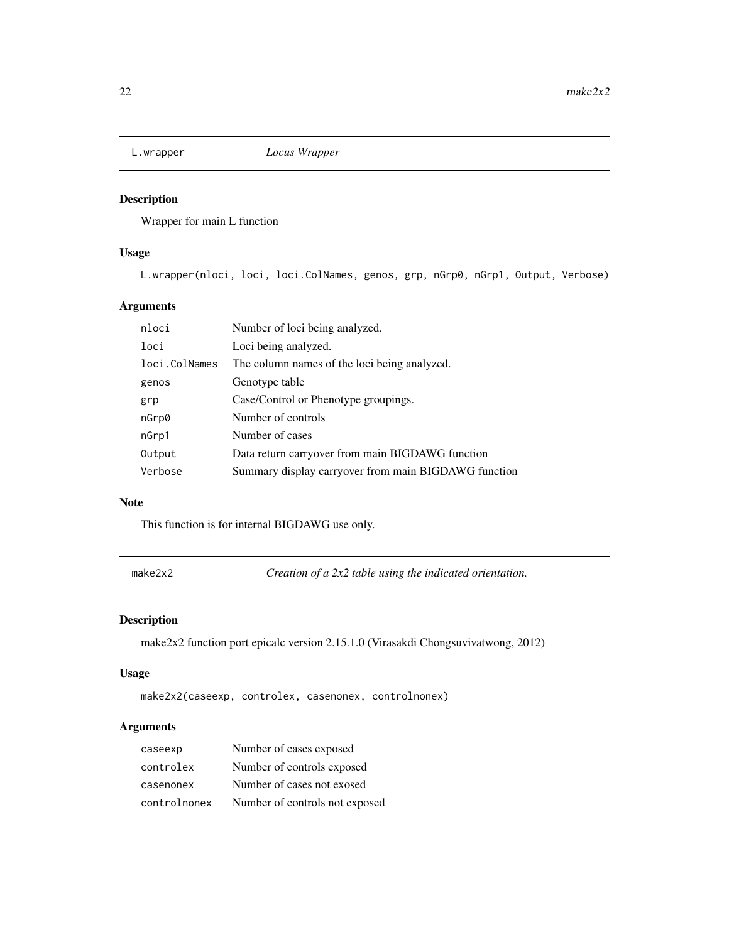<span id="page-21-0"></span>

Wrapper for main L function

#### Usage

L.wrapper(nloci, loci, loci.ColNames, genos, grp, nGrp0, nGrp1, Output, Verbose)

#### Arguments

| nloci         | Number of loci being analyzed.                       |
|---------------|------------------------------------------------------|
| loci          | Loci being analyzed.                                 |
| loci.ColNames | The column names of the loci being analyzed.         |
| genos         | Genotype table                                       |
| grp           | Case/Control or Phenotype groupings.                 |
| nGrp0         | Number of controls                                   |
| nGrp1         | Number of cases                                      |
| Output        | Data return carryover from main BIGDAWG function     |
| Verbose       | Summary display carryover from main BIGDAWG function |
|               |                                                      |

#### Note

This function is for internal BIGDAWG use only.

make2x2 *Creation of a 2x2 table using the indicated orientation.*

#### Description

make2x2 function port epicalc version 2.15.1.0 (Virasakdi Chongsuvivatwong, 2012)

#### Usage

```
make2x2(caseexp, controlex, casenonex, controlnonex)
```
#### Arguments

| caseexp      | Number of cases exposed        |
|--------------|--------------------------------|
| controlex    | Number of controls exposed     |
| casenonex    | Number of cases not exosed     |
| controlnonex | Number of controls not exposed |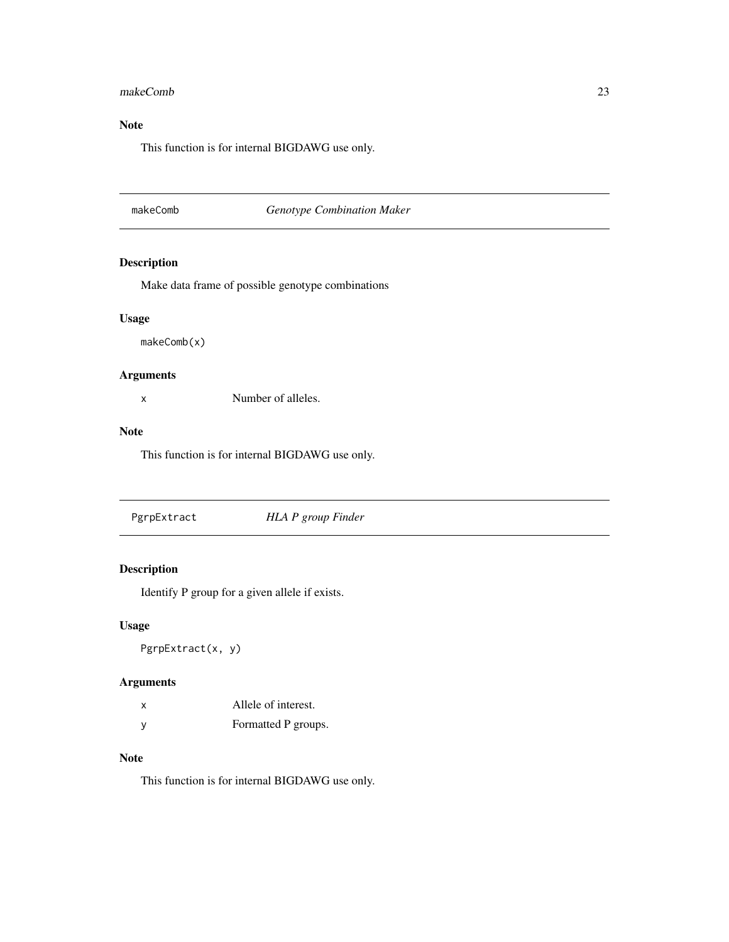#### <span id="page-22-0"></span>makeComb 23

#### Note

This function is for internal BIGDAWG use only.

#### makeComb *Genotype Combination Maker*

#### Description

Make data frame of possible genotype combinations

#### Usage

makeComb(x)

#### Arguments

x Number of alleles.

#### Note

This function is for internal BIGDAWG use only.

|  | PgrpExtract | HLA P group Finder |  |
|--|-------------|--------------------|--|
|--|-------------|--------------------|--|

#### Description

Identify P group for a given allele if exists.

#### Usage

PgrpExtract(x, y)

#### Arguments

| x | Allele of interest. |
|---|---------------------|
| ٧ | Formatted P groups. |

#### Note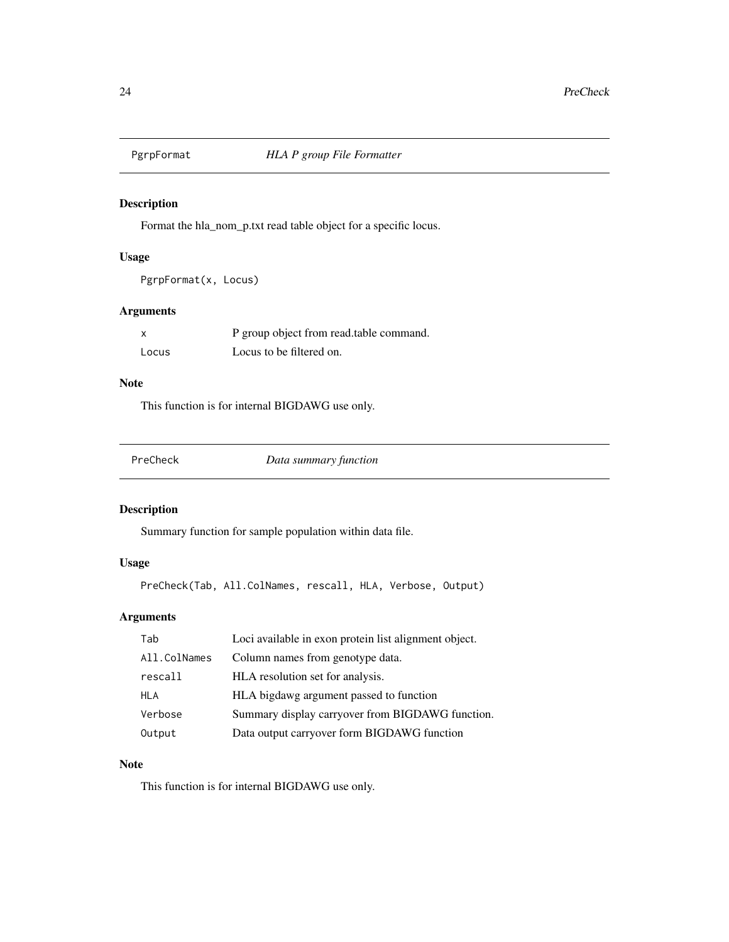<span id="page-23-0"></span>

Format the hla\_nom\_p.txt read table object for a specific locus.

#### Usage

```
PgrpFormat(x, Locus)
```
#### Arguments

| $\boldsymbol{\mathsf{x}}$ | P group object from read.table command. |
|---------------------------|-----------------------------------------|
| Locus                     | Locus to be filtered on.                |

#### Note

This function is for internal BIGDAWG use only.

| PreCheck | Data summary function |  |
|----------|-----------------------|--|
|          |                       |  |

#### Description

Summary function for sample population within data file.

#### Usage

PreCheck(Tab, All.ColNames, rescall, HLA, Verbose, Output)

#### Arguments

| Tab          | Loci available in exon protein list alignment object. |
|--------------|-------------------------------------------------------|
| All.ColNames | Column names from genotype data.                      |
| rescall      | HLA resolution set for analysis.                      |
| HLA          | HLA bigdawg argument passed to function               |
| Verbose      | Summary display carryover from BIGDAWG function.      |
| Output       | Data output carryover form BIGDAWG function           |

#### Note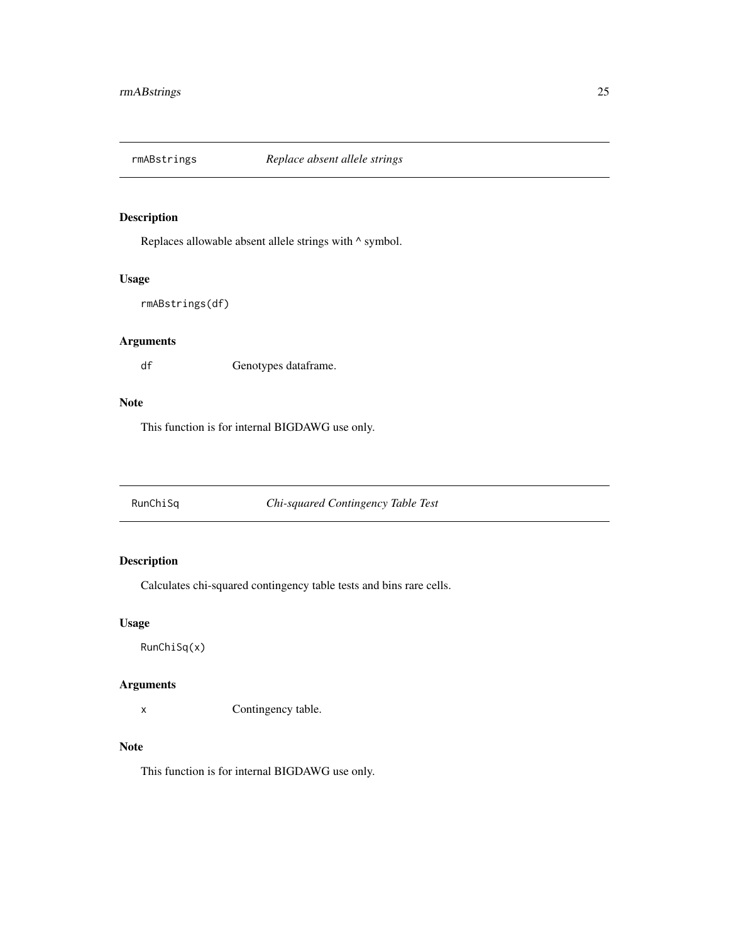<span id="page-24-0"></span>

Replaces allowable absent allele strings with  $\wedge$  symbol.

#### Usage

```
rmABstrings(df)
```
#### Arguments

df Genotypes dataframe.

#### Note

This function is for internal BIGDAWG use only.

RunChiSq *Chi-squared Contingency Table Test*

#### Description

Calculates chi-squared contingency table tests and bins rare cells.

#### Usage

RunChiSq(x)

#### Arguments

x Contingency table.

#### Note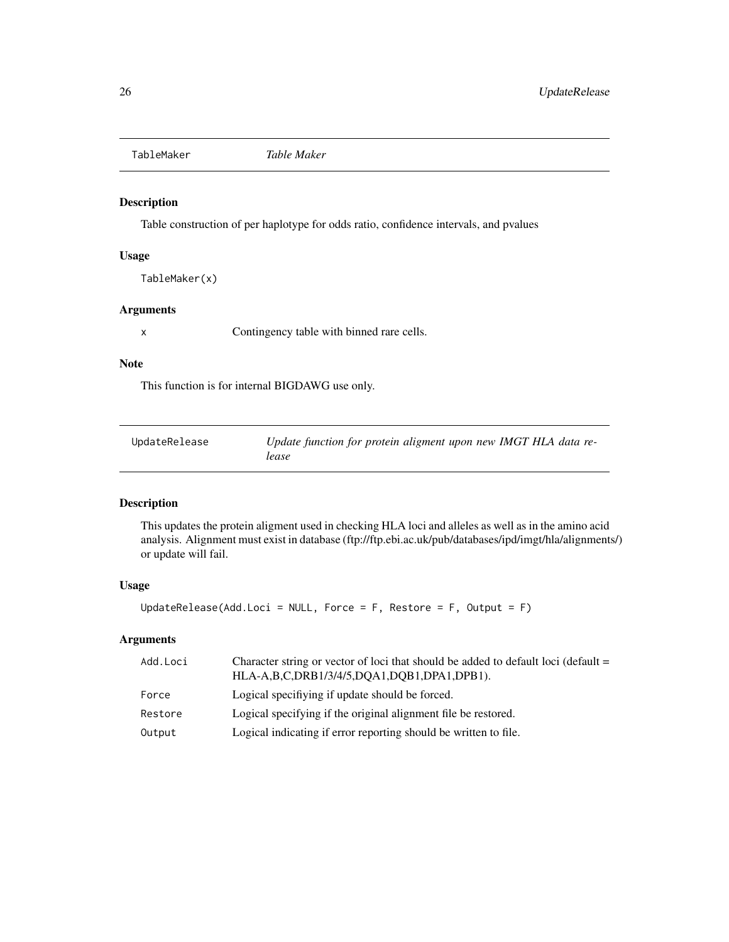<span id="page-25-0"></span>TableMaker *Table Maker*

#### Description

Table construction of per haplotype for odds ratio, confidence intervals, and pvalues

#### Usage

TableMaker(x)

#### Arguments

x Contingency table with binned rare cells.

#### Note

This function is for internal BIGDAWG use only.

| UpdateRelease | Update function for protein aligment upon new IMGT HLA data re- |
|---------------|-----------------------------------------------------------------|
|               | lease                                                           |

#### Description

This updates the protein aligment used in checking HLA loci and alleles as well as in the amino acid analysis. Alignment must exist in database (ftp://ftp.ebi.ac.uk/pub/databases/ipd/imgt/hla/alignments/) or update will fail.

#### Usage

UpdateRelease(Add.Loci = NULL, Force =  $F$ , Restore =  $F$ , Output =  $F$ )

#### Arguments

| Add.Loci | Character string or vector of loci that should be added to default loci (default $=$<br>HLA-A,B,C,DRB1/3/4/5,DQA1,DQB1,DPA1,DPB1). |
|----------|------------------------------------------------------------------------------------------------------------------------------------|
| Force    | Logical specifiving if update should be forced.                                                                                    |
| Restore  | Logical specifying if the original alignment file be restored.                                                                     |
| Output   | Logical indicating if error reporting should be written to file.                                                                   |